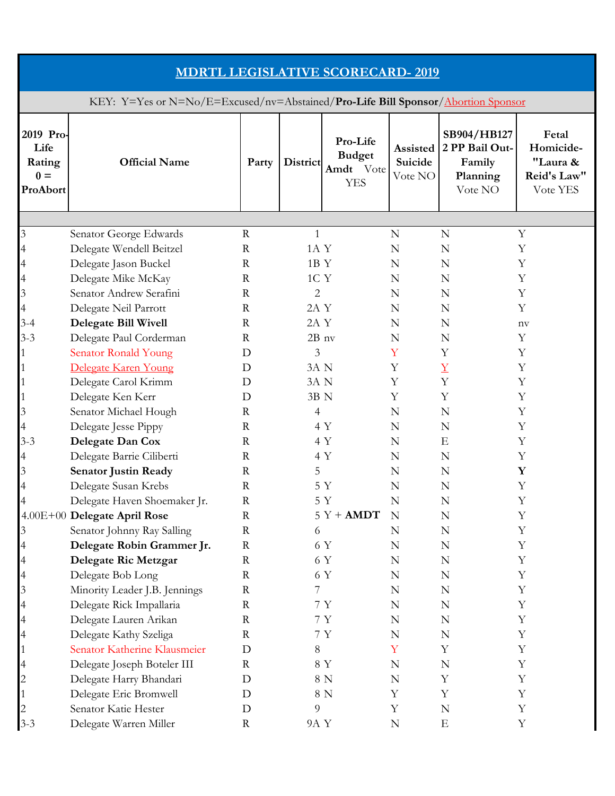| <b>MDRTL LEGISLATIVE SCORECARD-2019</b>                                          |                               |             |                |                                                      |                                |                                                                |                                                           |  |  |  |
|----------------------------------------------------------------------------------|-------------------------------|-------------|----------------|------------------------------------------------------|--------------------------------|----------------------------------------------------------------|-----------------------------------------------------------|--|--|--|
| KEY: Y=Yes or N=No/E=Excused/nv=Abstained/Pro-Life Bill Sponsor/Abortion Sponsor |                               |             |                |                                                      |                                |                                                                |                                                           |  |  |  |
| 2019 Pro-<br>Life<br>Rating<br>$0 =$<br>ProAbort                                 | <b>Official Name</b>          | Party       | District       | Pro-Life<br><b>Budget</b><br>Amdt Vote<br><b>YES</b> | Assisted<br>Suicide<br>Vote NO | SB904/HB127<br>2 PP Bail Out-<br>Family<br>Planning<br>Vote NO | Fetal<br>Homicide-<br>"Laura &<br>Reid's Law"<br>Vote YES |  |  |  |
|                                                                                  |                               |             |                |                                                      |                                |                                                                |                                                           |  |  |  |
| $\mathfrak{Z}$                                                                   | Senator George Edwards        | $\mathbf R$ | 1              |                                                      | N                              | N                                                              | Y                                                         |  |  |  |
|                                                                                  | Delegate Wendell Beitzel      | $\mathbf R$ | 1A Y           |                                                      | N                              | N                                                              | Y                                                         |  |  |  |
| 4                                                                                | Delegate Jason Buckel         | $\mathbf R$ | 1BY            |                                                      | N                              | N                                                              | Y                                                         |  |  |  |
| 4                                                                                | Delegate Mike McKay           | $\mathbf R$ | 1C Y           |                                                      | N                              | N                                                              | Y                                                         |  |  |  |
| $\mathfrak{Z}$                                                                   | Senator Andrew Serafini       | $\mathbf R$ | $\overline{2}$ |                                                      | N                              | N                                                              | Y                                                         |  |  |  |
| 4                                                                                | Delegate Neil Parrott         | $\mathbf R$ | 2A Y           |                                                      | N                              | N                                                              | Y                                                         |  |  |  |
| $3 - 4$                                                                          | <b>Delegate Bill Wivell</b>   | $\mathbf R$ | 2A Y           |                                                      | N                              | N                                                              | $n$ v                                                     |  |  |  |
| $3 - 3$                                                                          | Delegate Paul Corderman       | $\rm R$     | $2B$ nv        |                                                      | N                              | N                                                              | Y                                                         |  |  |  |
|                                                                                  | <b>Senator Ronald Young</b>   | D           | 3              |                                                      | Y                              | Y                                                              | Y                                                         |  |  |  |
|                                                                                  | Delegate Karen Young          | D           | 3A N           |                                                      | Υ                              | $\underline{Y}$                                                | Y                                                         |  |  |  |
|                                                                                  | Delegate Carol Krimm          | D           | 3A N           |                                                      | Υ                              | Y                                                              | Y                                                         |  |  |  |
|                                                                                  | Delegate Ken Kerr             | D           | 3B N           |                                                      | Υ                              | Y                                                              | Y                                                         |  |  |  |
| 3                                                                                | Senator Michael Hough         | $\mathbf R$ | $\overline{4}$ |                                                      | N                              | N                                                              | Y                                                         |  |  |  |
| 4                                                                                | Delegate Jesse Pippy          | $\mathbf R$ |                | 4 Y                                                  | N                              | N                                                              | Y                                                         |  |  |  |
| $3 - 3$                                                                          | Delegate Dan Cox              | $\mathbf R$ |                | 4 Y                                                  | N                              | Ε                                                              | Y                                                         |  |  |  |
|                                                                                  | Delegate Barrie Ciliberti     | $\mathbf R$ |                | 4 Y                                                  | N                              | N                                                              | Y                                                         |  |  |  |
| $\mathfrak{Z}$                                                                   | <b>Senator Justin Ready</b>   | $\mathbf R$ | 5              |                                                      | N                              | N                                                              | Y                                                         |  |  |  |
|                                                                                  | Delegate Susan Krebs          | $\mathbf R$ |                | $5Y$                                                 | ${\bf N}$                      | $\mathbb N$                                                    | Y                                                         |  |  |  |
|                                                                                  | Delegate Haven Shoemaker Jr.  | $\mathbf R$ |                | 5 Y                                                  | N                              | N                                                              | Y                                                         |  |  |  |
|                                                                                  | 4.00E+00 Delegate April Rose  | $\mathbf R$ |                | $5Y + AMDT$                                          | N                              | N                                                              | Y                                                         |  |  |  |
| 3                                                                                | Senator Johnny Ray Salling    | $\mathbf R$ | 6              |                                                      | N                              | N                                                              | Y                                                         |  |  |  |
|                                                                                  | Delegate Robin Grammer Jr.    | $\mathbf R$ |                | 6 Y                                                  | N                              | N                                                              | Y                                                         |  |  |  |
| 4                                                                                | Delegate Ric Metzgar          | $\mathbf R$ |                | 6 Y                                                  | N                              | N                                                              | Y                                                         |  |  |  |
| 4                                                                                | Delegate Bob Long             | R           |                | 6 Y                                                  | N                              | N                                                              | Y                                                         |  |  |  |
| $\mathfrak{Z}$                                                                   | Minority Leader J.B. Jennings | $\mathbf R$ | 7              |                                                      | N                              | N                                                              | Y                                                         |  |  |  |
| 4                                                                                | Delegate Rick Impallaria      | $\mathbf R$ |                | 7 Y                                                  | N                              | N                                                              | Y                                                         |  |  |  |
| $\overline{\mathcal{A}}$                                                         | Delegate Lauren Arikan        | R           |                | 7 Y                                                  | N                              | N                                                              | Y                                                         |  |  |  |
| 4                                                                                | Delegate Kathy Szeliga        | $\mathbf R$ |                | $7\ \mathrm{Y}$                                      | N                              | N                                                              | Y                                                         |  |  |  |
|                                                                                  | Senator Katherine Klausmeier  | D           | 8              |                                                      | Y                              | Y                                                              | Y                                                         |  |  |  |
| 4                                                                                | Delegate Joseph Boteler III   | $\mathbf R$ |                | 8 Y                                                  | N                              | N                                                              | Y                                                         |  |  |  |
| $\overline{c}$                                                                   | Delegate Harry Bhandari       | D           |                | $8\ {\rm N}$                                         | N                              | Υ                                                              | Y                                                         |  |  |  |
|                                                                                  | Delegate Eric Bromwell        | D           |                | 8 N                                                  | Y                              | Y                                                              | Y                                                         |  |  |  |
|                                                                                  | Senator Katie Hester          | D           | 9              |                                                      | Y                              | N                                                              | Y                                                         |  |  |  |
| $3 - 3$                                                                          | Delegate Warren Miller        | $\mathbf R$ | 9A Y           |                                                      | N                              | $\mathbf E$                                                    | Y                                                         |  |  |  |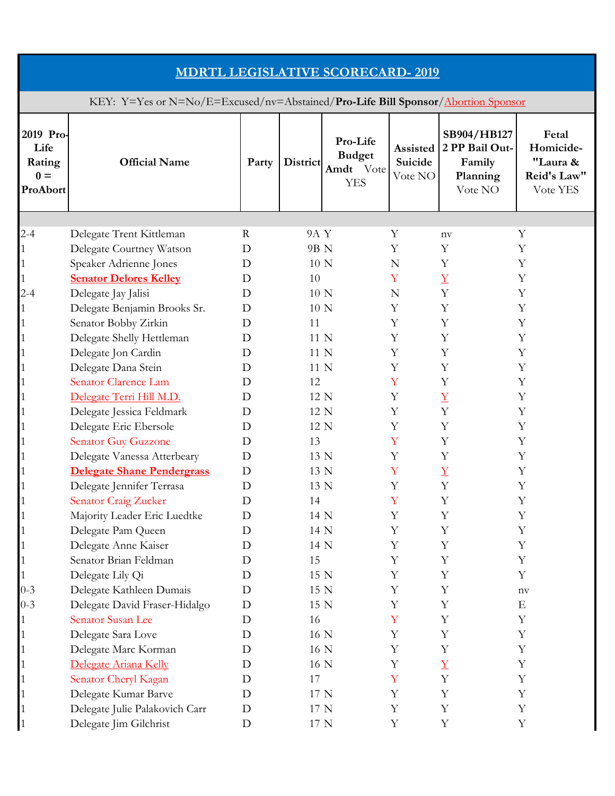| <b>MDRTL LEGISLATIVE SCORECARD-2019</b>                                          |                                                      |             |              |                                                      |                                |                                                                |                                                           |  |  |  |
|----------------------------------------------------------------------------------|------------------------------------------------------|-------------|--------------|------------------------------------------------------|--------------------------------|----------------------------------------------------------------|-----------------------------------------------------------|--|--|--|
| KEY: Y=Yes or N=No/E=Excused/nv=Abstained/Pro-Life Bill Sponsor/Abortion Sponsor |                                                      |             |              |                                                      |                                |                                                                |                                                           |  |  |  |
| 2019 Pro-<br>Life<br>Rating<br>$0 =$<br>ProAbort                                 | <b>Official Name</b>                                 | Party       | District     | Pro-Life<br><b>Budget</b><br>Amdt Vote<br><b>YES</b> | Assisted<br>Suicide<br>Vote NO | SB904/HB127<br>2 PP Bail Out-<br>Family<br>Planning<br>Vote NO | Fetal<br>Homicide-<br>"Laura &<br>Reid's Law"<br>Vote YES |  |  |  |
|                                                                                  |                                                      |             |              |                                                      |                                |                                                                |                                                           |  |  |  |
| $2 - 4$                                                                          | Delegate Trent Kittleman                             | R           | 9A Y         |                                                      | Υ                              | $n_{\rm V}$                                                    | Υ                                                         |  |  |  |
|                                                                                  | Delegate Courtney Watson                             | D           | 9B N         |                                                      | Y                              | Y                                                              | Y                                                         |  |  |  |
|                                                                                  | Speaker Adrienne Jones                               | D           | 10 N         |                                                      | N                              | Y                                                              | Y                                                         |  |  |  |
|                                                                                  | <b>Senator Delores Kelley</b>                        | D           | 10           |                                                      | Y                              | $\overline{\Lambda}$<br>Y                                      | Y                                                         |  |  |  |
| $2 - 4$                                                                          | Delegate Jay Jalisi                                  | D<br>D      | 10 N<br>10 N |                                                      | N<br>Υ                         | Y                                                              | Y<br>Y                                                    |  |  |  |
|                                                                                  | Delegate Benjamin Brooks Sr.<br>Senator Bobby Zirkin | D           | 11           |                                                      | Y                              | Y                                                              | Y                                                         |  |  |  |
|                                                                                  |                                                      | D           | 11 N         |                                                      | Y                              | Υ                                                              | Y                                                         |  |  |  |
|                                                                                  | Delegate Shelly Hettleman                            | D           | 11 N         |                                                      | Y                              | Y                                                              | Y                                                         |  |  |  |
|                                                                                  | Delegate Jon Cardin<br>Delegate Dana Stein           | D           | 11 N         |                                                      | Y                              | Y                                                              | Y                                                         |  |  |  |
|                                                                                  | Senator Clarence Lam                                 | D           | 12           |                                                      | Y                              | Y                                                              | Y                                                         |  |  |  |
|                                                                                  | Delegate Terri Hill M.D.                             | D           | 12 N         |                                                      | Y                              | $\overline{\Lambda}$                                           | Y                                                         |  |  |  |
|                                                                                  | Delegate Jessica Feldmark                            | D           | 12 N         |                                                      | Y                              | Y                                                              | Y                                                         |  |  |  |
|                                                                                  | Delegate Eric Ebersole                               | D           | 12 N         |                                                      | Υ                              | Y                                                              | Y                                                         |  |  |  |
|                                                                                  | <b>Senator Guy Guzzone</b>                           | D           | 13           |                                                      | Y                              | Υ                                                              | Υ                                                         |  |  |  |
|                                                                                  | Delegate Vanessa Atterbeary                          | D           | 13 N         |                                                      | Y                              | Y                                                              | Y                                                         |  |  |  |
|                                                                                  | <b>Delegate Shane Pendergrass</b>                    | D           | 13 N         |                                                      | Y                              | $\overline{\mathrm{Y}}$                                        | Υ                                                         |  |  |  |
|                                                                                  | Delegate Jennifer Terrasa                            | $\mathbf D$ | 13 N         |                                                      | Y                              | Y                                                              | $\mathbf Y$                                               |  |  |  |
|                                                                                  | Senator Craig Zucker                                 | D           | 14           |                                                      | Y                              | Y                                                              | Y                                                         |  |  |  |
|                                                                                  | Majority Leader Eric Luedtke                         | D           | 14 N         |                                                      | Y                              | Y                                                              | Y                                                         |  |  |  |
|                                                                                  | Delegate Pam Queen                                   | D           | 14 N         |                                                      | Υ                              | Y                                                              | Y                                                         |  |  |  |
|                                                                                  | Delegate Anne Kaiser                                 | D           | 14 N         |                                                      | Y                              | Υ                                                              | Y                                                         |  |  |  |
|                                                                                  | Senator Brian Feldman                                | D           | 15           |                                                      | Y                              | Y                                                              | Y                                                         |  |  |  |
|                                                                                  | Delegate Lily Qi                                     | D           | 15 N         |                                                      | Y                              | Υ                                                              | Y                                                         |  |  |  |
| $0 - 3$                                                                          | Delegate Kathleen Dumais                             | D           | 15 N         |                                                      | Y                              | Y                                                              | $n$ v                                                     |  |  |  |
| $0 - 3$                                                                          | Delegate David Fraser-Hidalgo                        | D           | 15 N         |                                                      | Y                              | Y                                                              | Ε                                                         |  |  |  |
|                                                                                  | Senator Susan Lee                                    | D           | 16           |                                                      | Y                              | Y                                                              | Y                                                         |  |  |  |
|                                                                                  | Delegate Sara Love                                   | D           | 16 N         |                                                      | Υ                              | Y                                                              | Y                                                         |  |  |  |
|                                                                                  | Delegate Marc Korman                                 | D           | 16 N         |                                                      | Y                              | Υ                                                              | Y                                                         |  |  |  |
|                                                                                  | Delegate Ariana Kelly                                | D           | 16 N         |                                                      | Y                              | $\overline{\mathbf{Y}}$                                        | Y                                                         |  |  |  |
|                                                                                  | Senator Cheryl Kagan                                 | D           | 17           |                                                      | Y                              | Y                                                              | Y                                                         |  |  |  |
|                                                                                  | Delegate Kumar Barve                                 | D           | 17 N         |                                                      | Y                              | Y                                                              | Y                                                         |  |  |  |
|                                                                                  | Delegate Julie Palakovich Carr                       | D           | 17 N         |                                                      | Y                              | Υ                                                              | Y                                                         |  |  |  |
|                                                                                  | Delegate Jim Gilchrist                               | D           | 17 N         |                                                      | Y                              | Y                                                              | Y                                                         |  |  |  |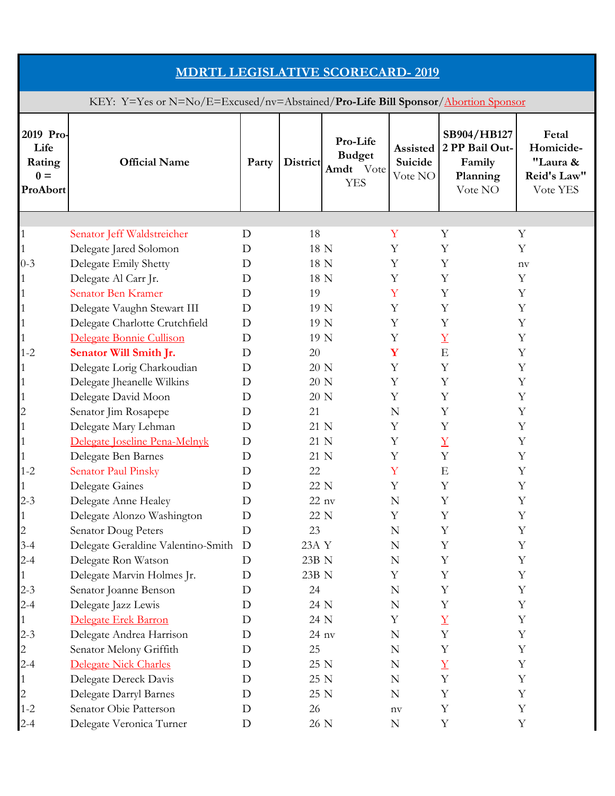| <b>MDRTL LEGISLATIVE SCORECARD-2019</b>                                          |                                    |             |          |                                                      |                                |                                                                |                                                           |  |  |  |
|----------------------------------------------------------------------------------|------------------------------------|-------------|----------|------------------------------------------------------|--------------------------------|----------------------------------------------------------------|-----------------------------------------------------------|--|--|--|
| KEY: Y=Yes or N=No/E=Excused/nv=Abstained/Pro-Life Bill Sponsor/Abortion Sponsor |                                    |             |          |                                                      |                                |                                                                |                                                           |  |  |  |
| 2019 Pro-<br>Life<br>Rating<br>$0 =$<br>ProAbort                                 | <b>Official Name</b>               | Party       | District | Pro-Life<br><b>Budget</b><br>Amdt Vote<br><b>YES</b> | Assisted<br>Suicide<br>Vote NO | SB904/HB127<br>2 PP Bail Out-<br>Family<br>Planning<br>Vote NO | Fetal<br>Homicide-<br>"Laura &<br>Reid's Law"<br>Vote YES |  |  |  |
|                                                                                  |                                    |             |          |                                                      |                                |                                                                |                                                           |  |  |  |
|                                                                                  | Senator Jeff Waldstreicher         | D           | 18       |                                                      | Υ                              | Y                                                              | Y                                                         |  |  |  |
|                                                                                  | Delegate Jared Solomon             | D           | 18 N     |                                                      | Y                              | Y                                                              | Y                                                         |  |  |  |
| $0 - 3$                                                                          | Delegate Emily Shetty              | D           | 18 N     |                                                      | Υ                              | Y                                                              | nv                                                        |  |  |  |
|                                                                                  | Delegate Al Carr Jr.               | D           | 18 N     |                                                      | Υ                              | Y                                                              | Y                                                         |  |  |  |
|                                                                                  | Senator Ben Kramer                 | D           | 19       |                                                      | Y                              | Y                                                              | Y                                                         |  |  |  |
|                                                                                  | Delegate Vaughn Stewart III        | D           | 19 N     |                                                      | Y                              | Y                                                              | Y                                                         |  |  |  |
|                                                                                  | Delegate Charlotte Crutchfield     | D           | 19 N     |                                                      | Y                              | Y                                                              | Y                                                         |  |  |  |
|                                                                                  | Delegate Bonnie Cullison           | D           | 19 N     |                                                      | Υ                              | $\overline{\Lambda}$                                           | Y                                                         |  |  |  |
| $1 - 2$                                                                          | Senator Will Smith Jr.             | D           | 20       |                                                      | Y                              | ${\bf E}$                                                      | Y                                                         |  |  |  |
|                                                                                  | Delegate Lorig Charkoudian         | D           | 20 N     |                                                      | Υ                              | Y                                                              | Y                                                         |  |  |  |
|                                                                                  | Delegate Jheanelle Wilkins         | D           | 20 N     |                                                      | Υ                              | Y                                                              | Y                                                         |  |  |  |
|                                                                                  | Delegate David Moon                | D           | 20 N     |                                                      | Υ                              | Y                                                              | Y                                                         |  |  |  |
| $\overline{c}$                                                                   | Senator Jim Rosapepe               | D           | 21       |                                                      | N                              | Y                                                              | Y                                                         |  |  |  |
|                                                                                  | Delegate Mary Lehman               | D           | 21 N     |                                                      | Υ                              | Y                                                              | Y                                                         |  |  |  |
|                                                                                  | Delegate Joseline Pena-Melnyk      | D           | 21 N     |                                                      | Υ                              | $\overline{\Lambda}$                                           | Y                                                         |  |  |  |
|                                                                                  | Delegate Ben Barnes                | D           | 21 N     |                                                      | Y                              | Y                                                              | Y                                                         |  |  |  |
| $1 - 2$                                                                          | Senator Paul Pinsky                | D           | 22       |                                                      | Y                              | E                                                              | Υ                                                         |  |  |  |
| $\perp$                                                                          | Delegate Gaines                    | $\mathbf D$ | 22 N     |                                                      | $\mathbf Y$                    | $\mathbf Y$                                                    | $\mathbf Y$                                               |  |  |  |
| $2 - 3$                                                                          | Delegate Anne Healey               | D           | $22$ nv  |                                                      | N                              | Y                                                              | Y                                                         |  |  |  |
|                                                                                  | Delegate Alonzo Washington         | D           | 22 N     |                                                      | Υ                              | Y                                                              | Y                                                         |  |  |  |
| $\overline{c}$                                                                   | Senator Doug Peters                | D           | 23       |                                                      | N                              | Y                                                              | Y                                                         |  |  |  |
| $3 - 4$                                                                          | Delegate Geraldine Valentino-Smith | D           | 23A Y    |                                                      | N                              | Y                                                              | Y                                                         |  |  |  |
| $2 - 4$                                                                          | Delegate Ron Watson                | D           | 23B N    |                                                      | N                              | Y                                                              | Y                                                         |  |  |  |
|                                                                                  | Delegate Marvin Holmes Jr.         | D           | 23B N    |                                                      | Υ                              | Υ                                                              | Y                                                         |  |  |  |
| $2 - 3$                                                                          | Senator Joanne Benson              | D           | 24       |                                                      | N                              | Y                                                              | $\mathbf Y$                                               |  |  |  |
| $2 - 4$                                                                          | Delegate Jazz Lewis                | D           | 24 N     |                                                      | N                              | Y                                                              | Y                                                         |  |  |  |
| $\mathbf{1}$                                                                     | Delegate Erek Barron               | D           | 24 N     |                                                      | Υ                              | $\overline{\Lambda}$                                           | Y                                                         |  |  |  |
| $2 - 3$                                                                          | Delegate Andrea Harrison           | D           | $24$ nv  |                                                      | N                              | Y                                                              | Y                                                         |  |  |  |
| $\overline{c}$                                                                   | Senator Melony Griffith            | D           | 25       |                                                      | N                              | Y                                                              | Y                                                         |  |  |  |
| $2 - 4$                                                                          | Delegate Nick Charles              | D           | 25 N     |                                                      | N                              | $\overline{\text{Y}}$                                          | Y                                                         |  |  |  |
|                                                                                  | Delegate Dereck Davis              | D           | 25 N     |                                                      | N                              | Y                                                              | Y                                                         |  |  |  |
| $\overline{c}$                                                                   | Delegate Darryl Barnes             | D           | 25 N     |                                                      | $\mathbf N$                    | Y                                                              | Y                                                         |  |  |  |
| $1 - 2$                                                                          | Senator Obie Patterson             | D           | 26       |                                                      | $n_{\rm V}$                    | Y                                                              | Y                                                         |  |  |  |
| $2 - 4$                                                                          | Delegate Veronica Turner           | D           | 26 N     |                                                      | $\mathbf N$                    | Y                                                              | Y                                                         |  |  |  |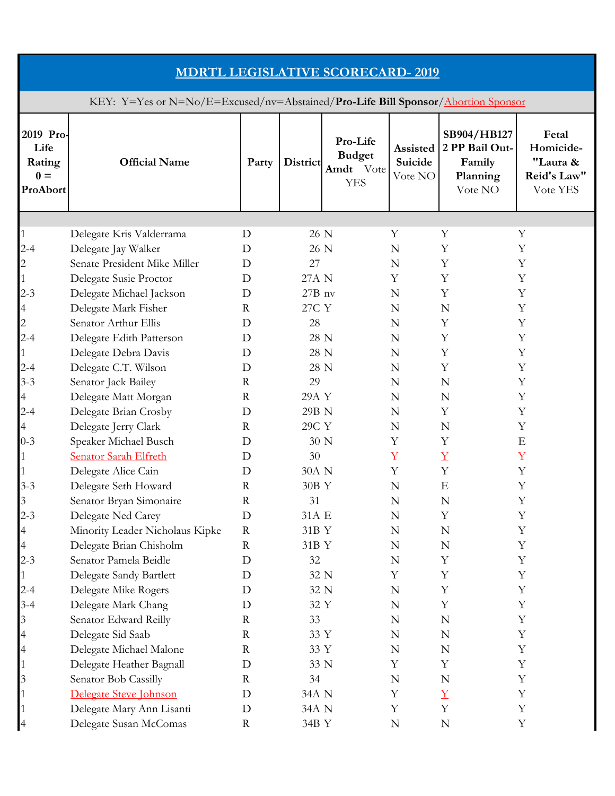| <b>MDRTL LEGISLATIVE SCORECARD-2019</b>                                          |                                                  |                  |                  |                                                      |                                |                                                                |                                                           |  |  |  |
|----------------------------------------------------------------------------------|--------------------------------------------------|------------------|------------------|------------------------------------------------------|--------------------------------|----------------------------------------------------------------|-----------------------------------------------------------|--|--|--|
| KEY: Y=Yes or N=No/E=Excused/nv=Abstained/Pro-Life Bill Sponsor/Abortion Sponsor |                                                  |                  |                  |                                                      |                                |                                                                |                                                           |  |  |  |
| 2019 Pro-<br>Life<br>Rating<br>$0 =$<br>ProAbort                                 | <b>Official Name</b>                             | Party            | District         | Pro-Life<br><b>Budget</b><br>Amdt Vote<br><b>YES</b> | Assisted<br>Suicide<br>Vote NO | SB904/HB127<br>2 PP Bail Out-<br>Family<br>Planning<br>Vote NO | Fetal<br>Homicide-<br>"Laura &<br>Reid's Law"<br>Vote YES |  |  |  |
|                                                                                  |                                                  |                  |                  |                                                      |                                |                                                                |                                                           |  |  |  |
| $\mathbf{1}$                                                                     | Delegate Kris Valderrama                         | D                | 26 N             |                                                      | Υ                              | Y                                                              | Y                                                         |  |  |  |
| $2 - 4$                                                                          | Delegate Jay Walker                              | D                | 26 N             |                                                      | N                              | Y                                                              | Y                                                         |  |  |  |
| 2                                                                                | Senate President Mike Miller                     | D                | 27               |                                                      | N                              | Y                                                              | Y                                                         |  |  |  |
|                                                                                  | Delegate Susie Proctor                           | D                | 27A N            |                                                      | Υ                              | Y                                                              | Y                                                         |  |  |  |
| $2 - 3$                                                                          | Delegate Michael Jackson                         | D                | $27B$ nv         |                                                      | N                              | Y                                                              | Y                                                         |  |  |  |
| $\overline{4}$                                                                   | Delegate Mark Fisher                             | $\mathbf R$      | 27C Y            |                                                      | N                              | N                                                              | Y                                                         |  |  |  |
| $\mathbf{2}$                                                                     | Senator Arthur Ellis                             | D                | 28               |                                                      | N                              | Y                                                              | Y                                                         |  |  |  |
| $2 - 4$                                                                          | Delegate Edith Patterson                         | D                | 28 N             |                                                      | N                              | Y                                                              | Y                                                         |  |  |  |
|                                                                                  | Delegate Debra Davis                             | D                | 28 N             |                                                      | N                              | Y                                                              | Y                                                         |  |  |  |
| $2 - 4$                                                                          | Delegate C.T. Wilson                             | D                | 28 N             |                                                      | N                              | Y                                                              | Y                                                         |  |  |  |
| $3 - 3$                                                                          | Senator Jack Bailey                              | $\mathbf R$      | 29               |                                                      | N                              | N                                                              | Y                                                         |  |  |  |
| 4                                                                                | Delegate Matt Morgan                             | $\mathbf R$      | 29A Y            |                                                      | N                              | N                                                              | Y                                                         |  |  |  |
| $2 - 4$                                                                          | Delegate Brian Crosby                            | D                | 29B N            |                                                      | N                              | Y                                                              | Y                                                         |  |  |  |
| $\overline{4}$                                                                   | Delegate Jerry Clark                             | $\mathbf R$      | 29C Y            |                                                      | N                              | N                                                              | Y                                                         |  |  |  |
| $0 - 3$                                                                          | Speaker Michael Busch                            | D                | 30 N             |                                                      | Y                              | Y                                                              | Ε                                                         |  |  |  |
|                                                                                  | <b>Senator Sarah Elfreth</b>                     | D                | 30               |                                                      | Y<br>Y                         | $\overline{X}$<br>Y                                            | Y                                                         |  |  |  |
|                                                                                  | Delegate Alice Cain                              | D                | 30A N            |                                                      |                                |                                                                | Y                                                         |  |  |  |
| $3-3$                                                                            | Delegate Seth Howard                             | $\rm R$          | $30\mathrm{B}$ Y |                                                      | ${\bf N}$                      | $\mathbf E$                                                    | Y                                                         |  |  |  |
| $\mathfrak{Z}$                                                                   | Senator Bryan Simonaire                          | $\mathbf R$      | 31               |                                                      | N                              | N                                                              | Y                                                         |  |  |  |
| $2 - 3$                                                                          | Delegate Ned Carey                               | D                | 31A E            |                                                      | N                              | Y                                                              | Y                                                         |  |  |  |
| 4                                                                                | Minority Leader Nicholaus Kipke                  | $\mathbf R$      | 31B Y            |                                                      | N                              | N                                                              | Y<br>Y                                                    |  |  |  |
| 4                                                                                | Delegate Brian Chisholm<br>Senator Pamela Beidle | $\mathbf R$<br>D | 31B Y            |                                                      | N                              | N<br>Y                                                         | Y                                                         |  |  |  |
| $2 - 3$                                                                          |                                                  |                  | 32               |                                                      | N                              |                                                                |                                                           |  |  |  |
|                                                                                  | Delegate Sandy Bartlett                          | D                | 32 N<br>32 N     |                                                      | Y                              | Υ<br>Y                                                         | Υ<br>Y                                                    |  |  |  |
| $2 - 4$                                                                          | Delegate Mike Rogers                             | D                | 32 Y             |                                                      | N<br>N                         | Y                                                              | Y                                                         |  |  |  |
| $3 - 4$                                                                          | Delegate Mark Chang                              | D                |                  |                                                      |                                |                                                                | Y                                                         |  |  |  |
| $\overline{3}$                                                                   | Senator Edward Reilly                            | R                | 33               |                                                      | N                              | N                                                              |                                                           |  |  |  |
| $\overline{4}$                                                                   | Delegate Sid Saab<br>Delegate Michael Malone     | R<br>$\mathbf R$ | 33 Y<br>33 Y     |                                                      | N                              | N<br>N                                                         | Y<br>Y                                                    |  |  |  |
| $\overline{4}$                                                                   |                                                  | D                | 33 N             |                                                      | N<br>Y                         | Y                                                              | Y                                                         |  |  |  |
| 3                                                                                | Delegate Heather Bagnall<br>Senator Bob Cassilly | R                | 34               |                                                      | N                              | N                                                              | Υ                                                         |  |  |  |
|                                                                                  | Delegate Steve Johnson                           | D                | 34A N            |                                                      | Y                              | $\overline{\Lambda}$                                           | Y                                                         |  |  |  |
|                                                                                  | Delegate Mary Ann Lisanti                        | D                | 34A N            |                                                      | Y                              | Y                                                              | Y                                                         |  |  |  |
| $\overline{A}$                                                                   | Delegate Susan McComas                           | $\rm R$          | 34B Y            |                                                      | N                              | ${\bf N}$                                                      | Y                                                         |  |  |  |
|                                                                                  |                                                  |                  |                  |                                                      |                                |                                                                |                                                           |  |  |  |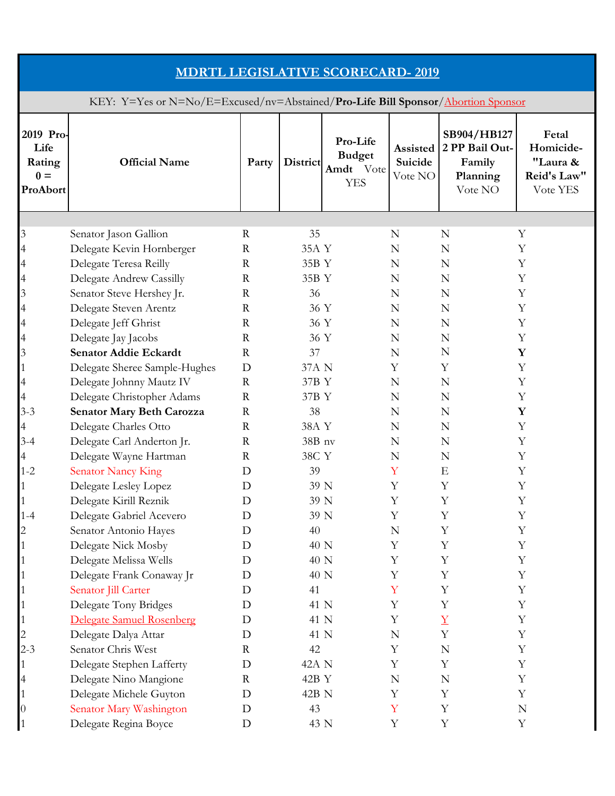| <b>MDRTL LEGISLATIVE SCORECARD-2019</b>                                          |                                  |             |               |                                                      |                                |                                                                |                                                           |  |  |  |
|----------------------------------------------------------------------------------|----------------------------------|-------------|---------------|------------------------------------------------------|--------------------------------|----------------------------------------------------------------|-----------------------------------------------------------|--|--|--|
| KEY: Y=Yes or N=No/E=Excused/nv=Abstained/Pro-Life Bill Sponsor/Abortion Sponsor |                                  |             |               |                                                      |                                |                                                                |                                                           |  |  |  |
| 2019 Pro-<br>Life<br>Rating<br>$0 =$<br>ProAbort                                 | <b>Official Name</b>             | Party       | District      | Pro-Life<br><b>Budget</b><br>Amdt Vote<br><b>YES</b> | Assisted<br>Suicide<br>Vote NO | SB904/HB127<br>2 PP Bail Out-<br>Family<br>Planning<br>Vote NO | Fetal<br>Homicide-<br>"Laura &<br>Reid's Law"<br>Vote YES |  |  |  |
|                                                                                  |                                  |             |               |                                                      |                                |                                                                |                                                           |  |  |  |
| 3                                                                                | Senator Jason Gallion            | $\rm R$     | 35            |                                                      | N                              | N                                                              | Υ                                                         |  |  |  |
| $\overline{4}$                                                                   | Delegate Kevin Hornberger        | $\mathbf R$ | 35A Y         |                                                      | N                              | N                                                              | Y                                                         |  |  |  |
| 4                                                                                | Delegate Teresa Reilly           | $\mathbf R$ | 35B Y         |                                                      | N                              | N                                                              | Y                                                         |  |  |  |
| $\overline{4}$                                                                   | Delegate Andrew Cassilly         | $\mathbf R$ | 35B Y         |                                                      | N                              | N                                                              | Y                                                         |  |  |  |
| 3                                                                                | Senator Steve Hershey Jr.        | $\mathbf R$ | 36            |                                                      | N                              | N                                                              | Y                                                         |  |  |  |
| $\overline{4}$                                                                   | Delegate Steven Arentz           | $\mathbf R$ | 36 Y          |                                                      | N                              | N                                                              | Y                                                         |  |  |  |
| $\overline{4}$                                                                   | Delegate Jeff Ghrist             | $\mathbf R$ | 36 Y          |                                                      | N                              | N                                                              | Y                                                         |  |  |  |
| $\overline{4}$                                                                   | Delegate Jay Jacobs              | $\mathbf R$ | 36 Y          |                                                      | N                              | N                                                              | Y                                                         |  |  |  |
| 3                                                                                | <b>Senator Addie Eckardt</b>     | $\mathbf R$ | 37            |                                                      | N                              | N                                                              | $\mathbf Y$                                               |  |  |  |
| 1                                                                                | Delegate Sheree Sample-Hughes    | D           | 37A N         |                                                      | Y                              | Y                                                              | Y                                                         |  |  |  |
| $\overline{4}$                                                                   | Delegate Johnny Mautz IV         | $\mathbf R$ | 37B Y         |                                                      | N                              | N                                                              | Y                                                         |  |  |  |
| 4                                                                                | Delegate Christopher Adams       | $\mathbf R$ | 37B Y         |                                                      | N                              | N                                                              | Y                                                         |  |  |  |
| $3 - 3$                                                                          | <b>Senator Mary Beth Carozza</b> | $\mathbf R$ | 38            |                                                      | N                              | N                                                              | Y                                                         |  |  |  |
| 4                                                                                | Delegate Charles Otto            | $\mathbf R$ | 38A Y         |                                                      | N                              | N                                                              | Y                                                         |  |  |  |
| $3 - 4$                                                                          | Delegate Carl Anderton Jr.       | $\mathbf R$ | 38B nv        |                                                      | N                              | N                                                              | Υ                                                         |  |  |  |
| 4                                                                                | Delegate Wayne Hartman           | $\mathbf R$ | 38C Y         |                                                      | N                              | N                                                              | Y                                                         |  |  |  |
| $1 - 2$                                                                          | <b>Senator Nancy King</b>        | D           | 39            |                                                      | Y                              | E                                                              | Υ                                                         |  |  |  |
|                                                                                  | <b>Delegate Lesley Lopez</b>     | $\mathbf D$ | $39\ {\rm N}$ |                                                      | Y                              | $\mathbf Y$                                                    | $\mathbf Y$                                               |  |  |  |
|                                                                                  | Delegate Kirill Reznik           | D           | 39 N          |                                                      | Y                              | Y                                                              | Y                                                         |  |  |  |
| $1 - 4$                                                                          | Delegate Gabriel Acevero         | D           | 39 N          |                                                      | Y                              | Y                                                              | Y                                                         |  |  |  |
| 2                                                                                | Senator Antonio Hayes            | D           | 40            |                                                      | N                              | Y                                                              | Y                                                         |  |  |  |
|                                                                                  | Delegate Nick Mosby              | D           | 40 N          |                                                      | Y                              | Y                                                              | Y                                                         |  |  |  |
|                                                                                  | Delegate Melissa Wells           | D           | 40 N          |                                                      | Y                              | Y                                                              | Y                                                         |  |  |  |
|                                                                                  | Delegate Frank Conaway Jr        | D           | 40 N          |                                                      | Y                              | Υ                                                              | Y                                                         |  |  |  |
|                                                                                  | Senator Jill Carter              | D           | 41            |                                                      | Y                              | Y                                                              | Y                                                         |  |  |  |
|                                                                                  | Delegate Tony Bridges            | D           | 41 N          |                                                      | Y                              | Y                                                              | Y                                                         |  |  |  |
|                                                                                  | Delegate Samuel Rosenberg        | D           | 41 N          |                                                      | Y                              | $\overline{\Lambda}$                                           | Y                                                         |  |  |  |
|                                                                                  | Delegate Dalya Attar             | D           | 41 N          |                                                      | N                              | Y                                                              | Y                                                         |  |  |  |
| $2 - 3$                                                                          | Senator Chris West               | $\rm R$     | 42            |                                                      | Y                              | N                                                              | Y                                                         |  |  |  |
|                                                                                  | Delegate Stephen Lafferty        | D           | 42A N         |                                                      | Y                              | Y                                                              | Y                                                         |  |  |  |
| 4                                                                                | Delegate Nino Mangione           | $\rm R$     | 42B Y         |                                                      | N                              | N                                                              | Υ                                                         |  |  |  |
| $\mathbf{1}$                                                                     | Delegate Michele Guyton          | D           | 42B N         |                                                      | Y                              | Y                                                              | Y                                                         |  |  |  |
| $\overline{0}$                                                                   | Senator Mary Washington          | D           | 43            |                                                      | Y                              | Y                                                              | ${\bf N}$                                                 |  |  |  |
| $\vert$ <sup>1</sup>                                                             | Delegate Regina Boyce            | D           | 43 N          |                                                      | Y                              | Y                                                              | Y                                                         |  |  |  |